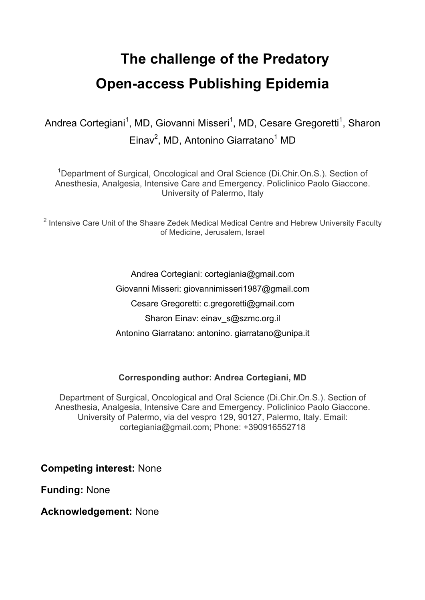# **The challenge of the Predatory Open-access Publishing Epidemia**

Andrea Cortegiani<sup>1</sup>, MD, Giovanni Misseri<sup>1</sup>, MD, Cesare Gregoretti<sup>1</sup>, Sharon Einav<sup>2</sup>, MD, Antonino Giarratano<sup>1</sup> MD

<sup>1</sup>Department of Surgical, Oncological and Oral Science (Di.Chir.On.S.). Section of Anesthesia, Analgesia, Intensive Care and Emergency. Policlinico Paolo Giaccone. University of Palermo, Italy

<sup>2</sup> Intensive Care Unit of the Shaare Zedek Medical Medical Centre and Hebrew University Faculty of Medicine, Jerusalem, Israel

> Andrea Cortegiani: cortegiania@gmail.com Giovanni Misseri: giovannimisseri1987@gmail.com Cesare Gregoretti: c.gregoretti@gmail.com Sharon Einav: einav s@szmc.org.il Antonino Giarratano: antonino. giarratano@unipa.it

#### **Corresponding author: Andrea Cortegiani, MD**

Department of Surgical, Oncological and Oral Science (Di.Chir.On.S.). Section of Anesthesia, Analgesia, Intensive Care and Emergency. Policlinico Paolo Giaccone. University of Palermo, via del vespro 129, 90127, Palermo, Italy. Email: cortegiania@gmail.com; Phone: +390916552718

**Competing interest:** None

**Funding:** None

**Acknowledgement:** None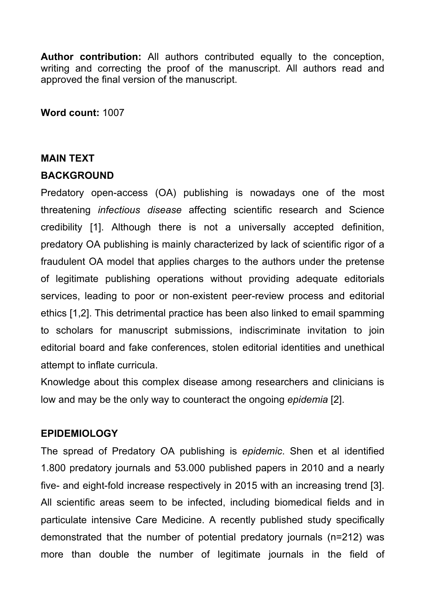**Author contribution:** All authors contributed equally to the conception, writing and correcting the proof of the manuscript. All authors read and approved the final version of the manuscript.

**Word count:** 1007

### **MAIN TEXT**

## **BACKGROUND**

Predatory open-access (OA) publishing is nowadays one of the most threatening *infectious disease* affecting scientific research and Science credibility [1]. Although there is not a universally accepted definition, predatory OA publishing is mainly characterized by lack of scientific rigor of a fraudulent OA model that applies charges to the authors under the pretense of legitimate publishing operations without providing adequate editorials services, leading to poor or non-existent peer-review process and editorial ethics [1,2]. This detrimental practice has been also linked to email spamming to scholars for manuscript submissions, indiscriminate invitation to join editorial board and fake conferences, stolen editorial identities and unethical attempt to inflate curricula.

Knowledge about this complex disease among researchers and clinicians is low and may be the only way to counteract the ongoing *epidemia* [2].

### **EPIDEMIOLOGY**

The spread of Predatory OA publishing is *epidemic*. Shen et al identified 1.800 predatory journals and 53.000 published papers in 2010 and a nearly five- and eight-fold increase respectively in 2015 with an increasing trend [3]. All scientific areas seem to be infected, including biomedical fields and in particulate intensive Care Medicine. A recently published study specifically demonstrated that the number of potential predatory journals (n=212) was more than double the number of legitimate journals in the field of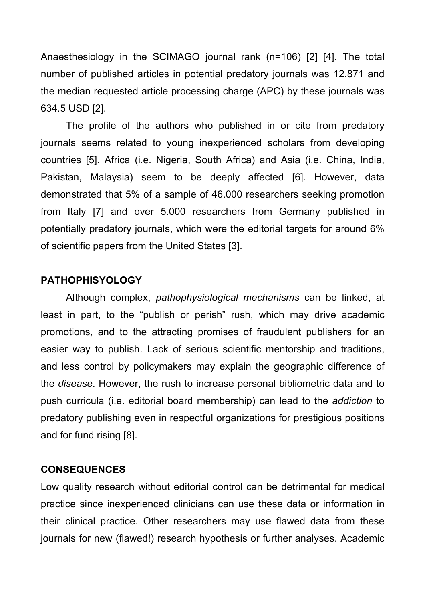Anaesthesiology in the SCIMAGO journal rank (n=106) [2] [4]. The total number of published articles in potential predatory journals was 12.871 and the median requested article processing charge (APC) by these journals was 634.5 USD [2].

The profile of the authors who published in or cite from predatory journals seems related to young inexperienced scholars from developing countries [5]. Africa (i.e. Nigeria, South Africa) and Asia (i.e. China, India, Pakistan, Malaysia) seem to be deeply affected [6]. However, data demonstrated that 5% of a sample of 46.000 researchers seeking promotion from Italy [7] and over 5.000 researchers from Germany published in potentially predatory journals, which were the editorial targets for around 6% of scientific papers from the United States [3].

#### **PATHOPHISYOLOGY**

Although complex, *pathophysiological mechanisms* can be linked, at least in part, to the "publish or perish" rush, which may drive academic promotions, and to the attracting promises of fraudulent publishers for an easier way to publish. Lack of serious scientific mentorship and traditions, and less control by policymakers may explain the geographic difference of the *disease*. However, the rush to increase personal bibliometric data and to push curricula (i.e. editorial board membership) can lead to the *addiction* to predatory publishing even in respectful organizations for prestigious positions and for fund rising [8].

#### **CONSEQUENCES**

Low quality research without editorial control can be detrimental for medical practice since inexperienced clinicians can use these data or information in their clinical practice. Other researchers may use flawed data from these journals for new (flawed!) research hypothesis or further analyses. Academic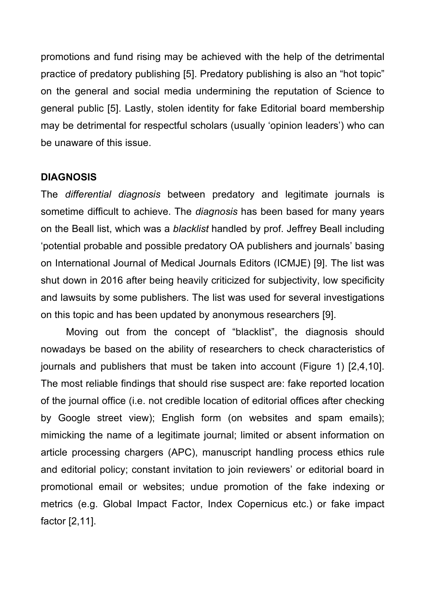promotions and fund rising may be achieved with the help of the detrimental practice of predatory publishing [5]. Predatory publishing is also an "hot topic" on the general and social media undermining the reputation of Science to general public [5]. Lastly, stolen identity for fake Editorial board membership may be detrimental for respectful scholars (usually 'opinion leaders') who can be unaware of this issue.

### **DIAGNOSIS**

The *differential diagnosis* between predatory and legitimate journals is sometime difficult to achieve. The *diagnosis* has been based for many years on the Beall list, which was a *blacklist* handled by prof. Jeffrey Beall including 'potential probable and possible predatory OA publishers and journals' basing on International Journal of Medical Journals Editors (ICMJE) [9]. The list was shut down in 2016 after being heavily criticized for subjectivity, low specificity and lawsuits by some publishers. The list was used for several investigations on this topic and has been updated by anonymous researchers [9].

Moving out from the concept of "blacklist", the diagnosis should nowadays be based on the ability of researchers to check characteristics of journals and publishers that must be taken into account (Figure 1) [2,4,10]. The most reliable findings that should rise suspect are: fake reported location of the journal office (i.e. not credible location of editorial offices after checking by Google street view); English form (on websites and spam emails); mimicking the name of a legitimate journal; limited or absent information on article processing chargers (APC), manuscript handling process ethics rule and editorial policy; constant invitation to join reviewers' or editorial board in promotional email or websites; undue promotion of the fake indexing or metrics (e.g. Global Impact Factor, Index Copernicus etc.) or fake impact factor [2,11].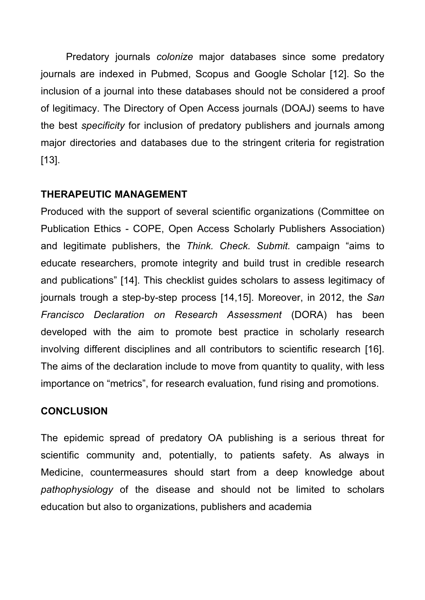Predatory journals *colonize* major databases since some predatory journals are indexed in Pubmed, Scopus and Google Scholar [12]. So the inclusion of a journal into these databases should not be considered a proof of legitimacy. The Directory of Open Access journals (DOAJ) seems to have the best *specificity* for inclusion of predatory publishers and journals among major directories and databases due to the stringent criteria for registration [13].

## **THERAPEUTIC MANAGEMENT**

Produced with the support of several scientific organizations (Committee on Publication Ethics - COPE, Open Access Scholarly Publishers Association) and legitimate publishers, the *Think. Check. Submit.* campaign "aims to educate researchers, promote integrity and build trust in credible research and publications" [14]. This checklist guides scholars to assess legitimacy of journals trough a step-by-step process [14,15]. Moreover, in 2012, the *San Francisco Declaration on Research Assessment* (DORA) has been developed with the aim to promote best practice in scholarly research involving different disciplines and all contributors to scientific research [16]. The aims of the declaration include to move from quantity to quality, with less importance on "metrics", for research evaluation, fund rising and promotions.

## **CONCLUSION**

The epidemic spread of predatory OA publishing is a serious threat for scientific community and, potentially, to patients safety. As always in Medicine, countermeasures should start from a deep knowledge about *pathophysiology* of the disease and should not be limited to scholars education but also to organizations, publishers and academia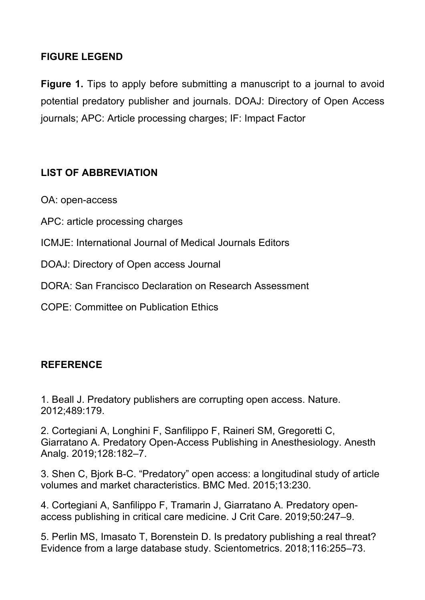# **FIGURE LEGEND**

**Figure 1.** Tips to apply before submitting a manuscript to a journal to avoid potential predatory publisher and journals. DOAJ: Directory of Open Access journals; APC: Article processing charges; IF: Impact Factor

# **LIST OF ABBREVIATION**

OA: open-access

- APC: article processing charges
- ICMJE: International Journal of Medical Journals Editors
- DOAJ: Directory of Open access Journal
- DORA: San Francisco Declaration on Research Assessment
- COPE: Committee on Publication Ethics

## **REFERENCE**

1. Beall J. Predatory publishers are corrupting open access. Nature. 2012;489:179.

2. Cortegiani A, Longhini F, Sanfilippo F, Raineri SM, Gregoretti C, Giarratano A. Predatory Open-Access Publishing in Anesthesiology. Anesth Analg. 2019;128:182–7.

3. Shen C, Bjork B-C. "Predatory" open access: a longitudinal study of article volumes and market characteristics. BMC Med. 2015;13:230.

4. Cortegiani A, Sanfilippo F, Tramarin J, Giarratano A. Predatory openaccess publishing in critical care medicine. J Crit Care. 2019;50:247–9.

5. Perlin MS, Imasato T, Borenstein D. Is predatory publishing a real threat? Evidence from a large database study. Scientometrics. 2018;116:255–73.